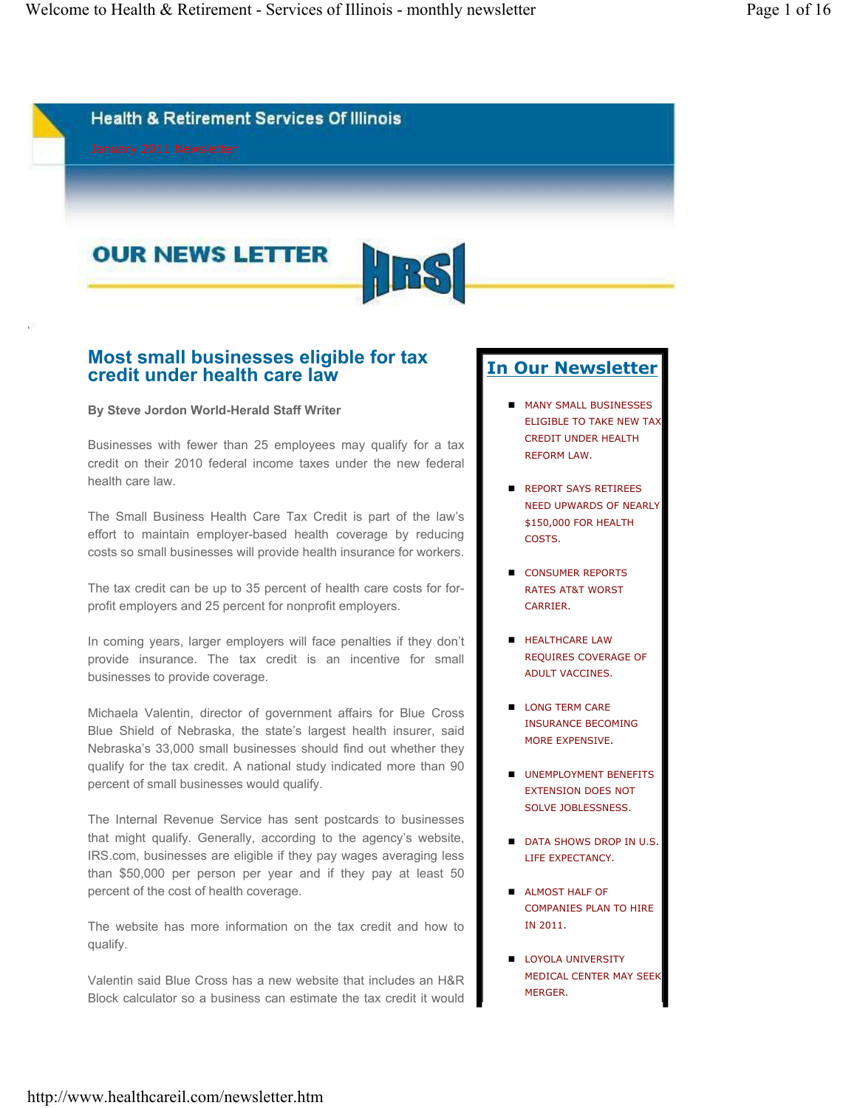

## **Most small businesses eligible for tax credit under health care law**

### **By Steve Jordon World-Herald Staff Writer**

Businesses with fewer than 25 employees may qualify for a tax credit on their 2010 federal income taxes under the new federal health care law.

The Small Business Health Care Tax Credit is part of the law's effort to maintain employer-based health coverage by reducing costs so small businesses will provide health insurance for workers.

The tax credit can be up to 35 percent of health care costs for forprofit employers and 25 percent for nonprofit employers.

In coming years, larger employers will face penalties if they don't provide insurance. The tax credit is an incentive for small businesses to provide coverage.

Michaela Valentin, director of government affairs for Blue Cross Blue Shield of Nebraska, the state's largest health insurer, said Nebraska's 33,000 small businesses should find out whether they qualify for the tax credit. A national study indicated more than 90 percent of small businesses would qualify.

The Internal Revenue Service has sent postcards to businesses that might qualify. Generally, according to the agency's website, IRS.com, businesses are eligible if they pay wages averaging less than \$50,000 per person per year and if they pay at least 50 percent of the cost of health coverage.

The website has more information on the tax credit and how to qualify.

Valentin said Blue Cross has a new website that includes an H&R Block calculator so a business can estimate the tax credit it would

## **In Our Newsletter**

- **MANY SMALL BUSINESSES** ELIGIBLE TO TAKE NEW TAX CREDIT UNDER HEALTH REFORM LAW.
- REPORT SAYS RETIREES NEED UPWARDS OF NEARLY \$150,000 FOR HEALTH COSTS.
- CONSUMER REPORTS RATES AT&T WORST CARRIER.
- HEALTHCARE LAW REQUIRES COVERAGE OF ADULT VACCINES.
- LONG TERM CARE INSURANCE BECOMING MORE EXPENSIVE.
- UNEMPLOYMENT BENEFITS EXTENSION DOES NOT SOLVE JOBLESSNESS.
- DATA SHOWS DROP IN U.S. LIFE EXPECTANCY.
- **ALMOST HALF OF** COMPANIES PLAN TO HIRE IN 2011.
- **LOYOLA UNIVERSITY** MEDICAL CENTER MAY SEEK MERGER.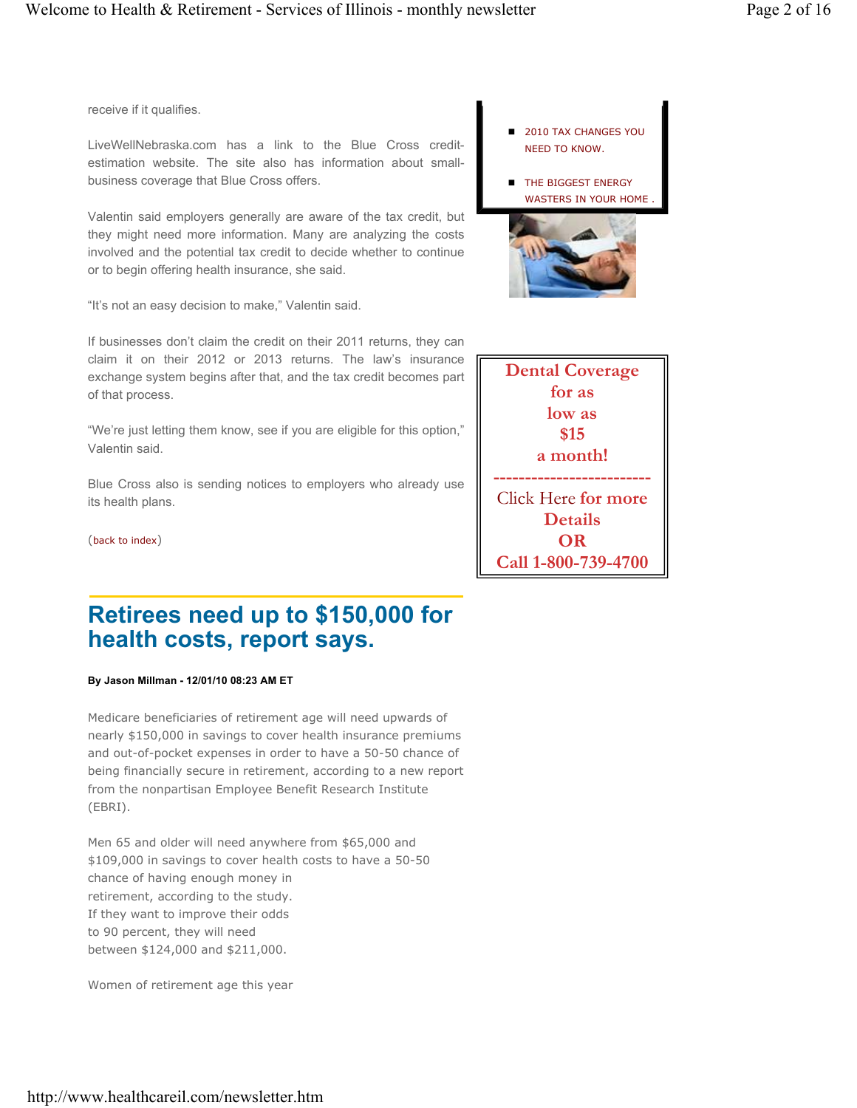receive if it qualifies.

LiveWellNebraska.com has a link to the Blue Cross creditestimation website. The site also has information about smallbusiness coverage that Blue Cross offers.

Valentin said employers generally are aware of the tax credit, but they might need more information. Many are analyzing the costs involved and the potential tax credit to decide whether to continue or to begin offering health insurance, she said.

"It's not an easy decision to make," Valentin said.

If businesses don't claim the credit on their 2011 returns, they can claim it on their 2012 or 2013 returns. The law's insurance exchange system begins after that, and the tax credit becomes part of that process.

"We're just letting them know, see if you are eligible for this option," Valentin said.

Blue Cross also is sending notices to employers who already use its health plans.

(back to index)

## **Retirees need up to \$150,000 for health costs, report says.**

### **By Jason Millman - 12/01/10 08:23 AM ET**

Medicare beneficiaries of retirement age will need upwards of nearly \$150,000 in savings to cover health insurance premiums and out-of-pocket expenses in order to have a 50-50 chance of being financially secure in retirement, according to a new report from the nonpartisan Employee Benefit Research Institute (EBRI).

Men 65 and older will need anywhere from \$65,000 and \$109,000 in savings to cover health costs to have a 50-50 chance of having enough money in retirement, according to the study. If they want to improve their odds to 90 percent, they will need between \$124,000 and \$211,000.

Women of retirement age this year

- 2010 TAX CHANGES YOU NEED TO KNOW.
- THE BIGGEST ENERGY WASTERS IN YOUR HOME



| <b>Dental Coverage</b> |
|------------------------|
| for as                 |
| low as                 |
| \$15                   |
| a month!               |
|                        |
| Click Here for more    |
| <b>Details</b>         |
| OR                     |
| Call 1-800-739-4700    |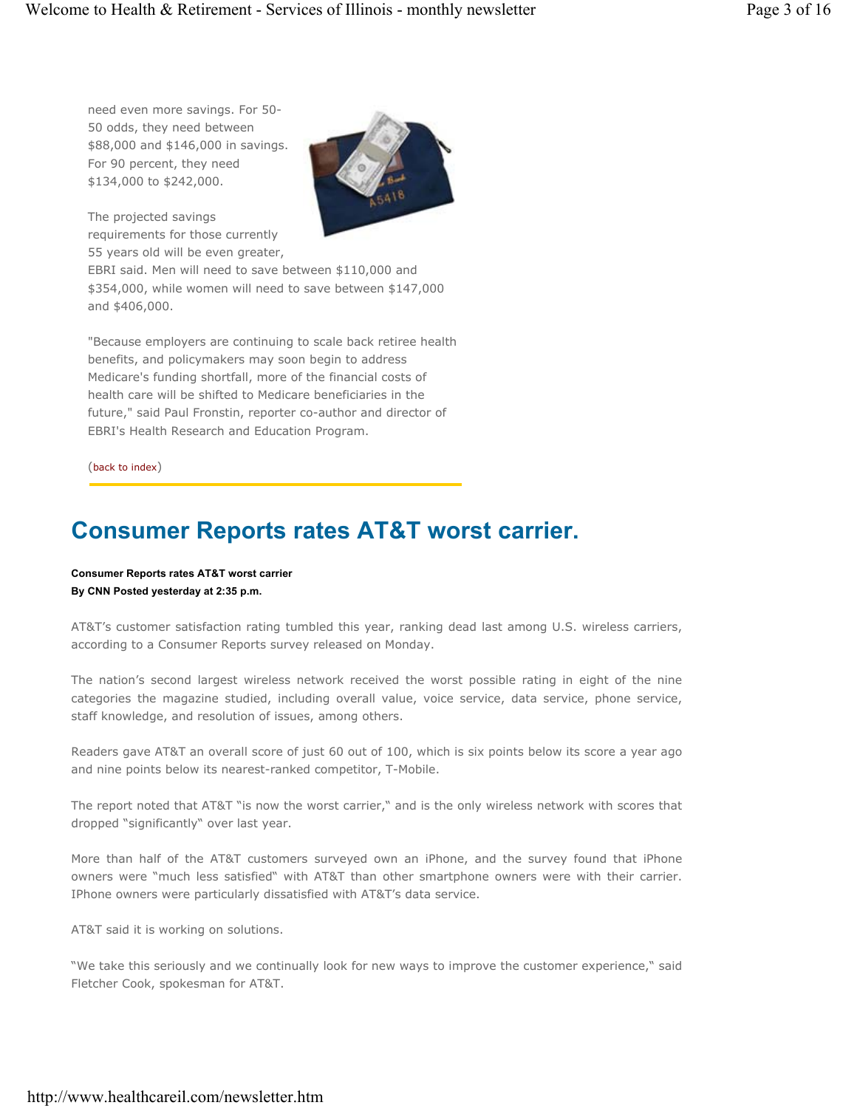need even more savings. For 50- 50 odds, they need between \$88,000 and \$146,000 in savings. For 90 percent, they need \$134,000 to \$242,000.



The projected savings requirements for those currently 55 years old will be even greater,

EBRI said. Men will need to save between \$110,000 and \$354,000, while women will need to save between \$147,000 and \$406,000.

"Because employers are continuing to scale back retiree health benefits, and policymakers may soon begin to address Medicare's funding shortfall, more of the financial costs of health care will be shifted to Medicare beneficiaries in the future," said Paul Fronstin, reporter co-author and director of EBRI's Health Research and Education Program.

(back to index)

# **Consumer Reports rates AT&T worst carrier.**

**Consumer Reports rates AT&T worst carrier By CNN Posted yesterday at 2:35 p.m.** 

AT&T's customer satisfaction rating tumbled this year, ranking dead last among U.S. wireless carriers, according to a Consumer Reports survey released on Monday.

The nation's second largest wireless network received the worst possible rating in eight of the nine categories the magazine studied, including overall value, voice service, data service, phone service, staff knowledge, and resolution of issues, among others.

Readers gave AT&T an overall score of just 60 out of 100, which is six points below its score a year ago and nine points below its nearest-ranked competitor, T-Mobile.

The report noted that AT&T "is now the worst carrier," and is the only wireless network with scores that dropped "significantly" over last year.

More than half of the AT&T customers surveyed own an iPhone, and the survey found that iPhone owners were "much less satisfied" with AT&T than other smartphone owners were with their carrier. IPhone owners were particularly dissatisfied with AT&T's data service.

AT&T said it is working on solutions.

"We take this seriously and we continually look for new ways to improve the customer experience," said Fletcher Cook, spokesman for AT&T.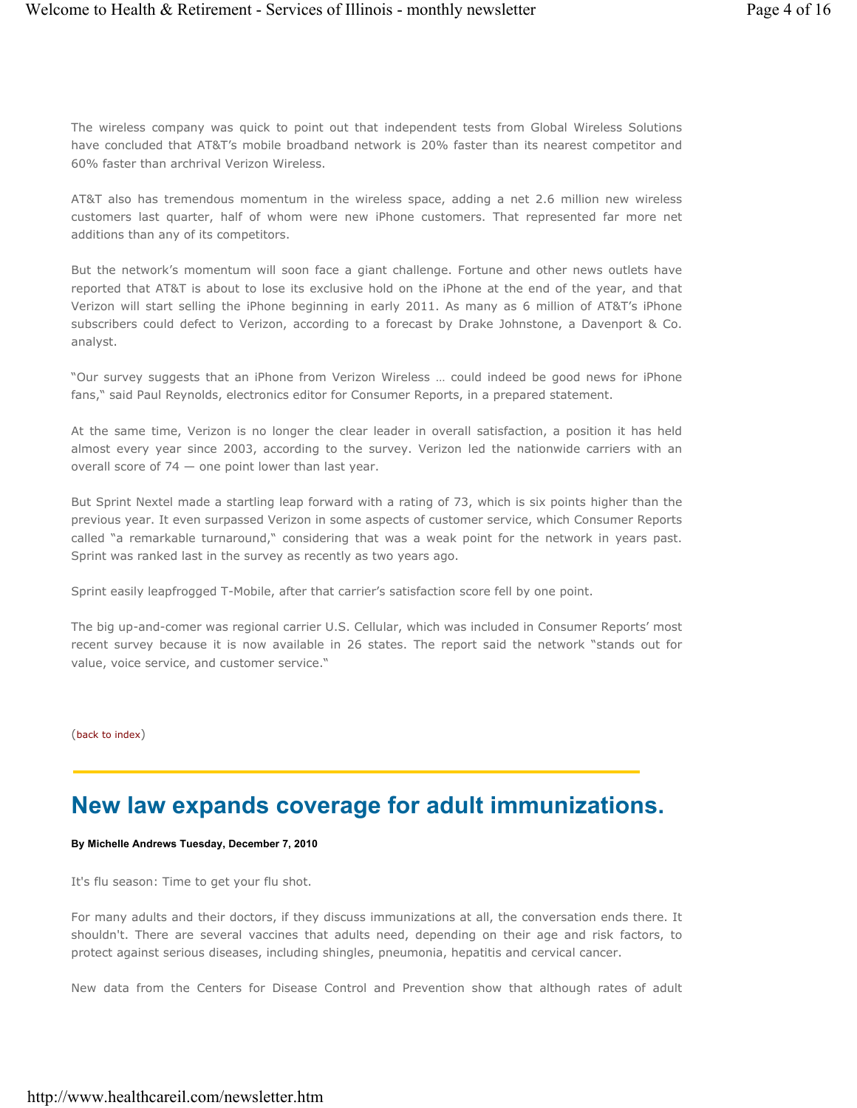The wireless company was quick to point out that independent tests from Global Wireless Solutions have concluded that AT&T's mobile broadband network is 20% faster than its nearest competitor and 60% faster than archrival Verizon Wireless.

AT&T also has tremendous momentum in the wireless space, adding a net 2.6 million new wireless customers last quarter, half of whom were new iPhone customers. That represented far more net additions than any of its competitors.

But the network's momentum will soon face a giant challenge. Fortune and other news outlets have reported that AT&T is about to lose its exclusive hold on the iPhone at the end of the year, and that Verizon will start selling the iPhone beginning in early 2011. As many as 6 million of AT&T's iPhone subscribers could defect to Verizon, according to a forecast by Drake Johnstone, a Davenport & Co. analyst.

"Our survey suggests that an iPhone from Verizon Wireless … could indeed be good news for iPhone fans," said Paul Reynolds, electronics editor for Consumer Reports, in a prepared statement.

At the same time, Verizon is no longer the clear leader in overall satisfaction, a position it has held almost every year since 2003, according to the survey. Verizon led the nationwide carriers with an overall score of 74 — one point lower than last year.

But Sprint Nextel made a startling leap forward with a rating of 73, which is six points higher than the previous year. It even surpassed Verizon in some aspects of customer service, which Consumer Reports called "a remarkable turnaround," considering that was a weak point for the network in years past. Sprint was ranked last in the survey as recently as two years ago.

Sprint easily leapfrogged T-Mobile, after that carrier's satisfaction score fell by one point.

The big up-and-comer was regional carrier U.S. Cellular, which was included in Consumer Reports' most recent survey because it is now available in 26 states. The report said the network "stands out for value, voice service, and customer service."

(back to index)

## **New law expands coverage for adult immunizations.**

#### **By Michelle Andrews Tuesday, December 7, 2010**

It's flu season: Time to get your flu shot.

For many adults and their doctors, if they discuss immunizations at all, the conversation ends there. It shouldn't. There are several vaccines that adults need, depending on their age and risk factors, to protect against serious diseases, including shingles, pneumonia, hepatitis and cervical cancer.

New data from the Centers for Disease Control and Prevention show that although rates of adult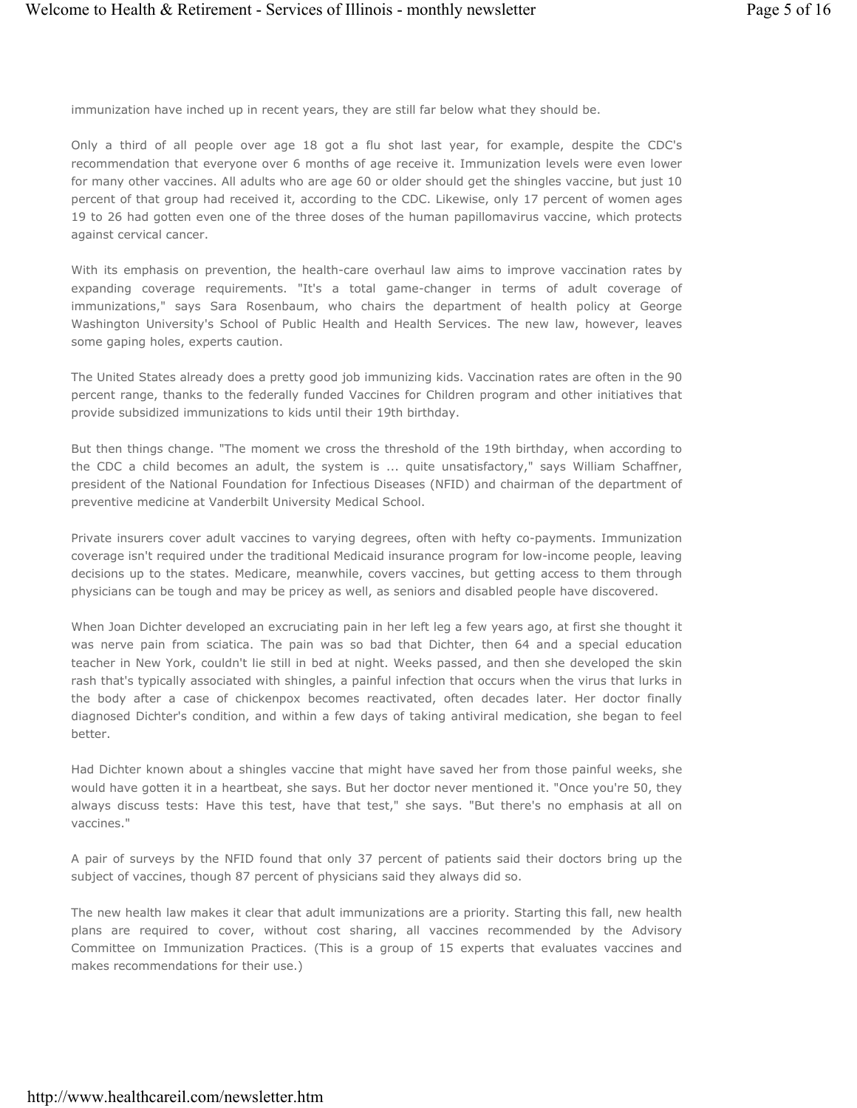immunization have inched up in recent years, they are still far below what they should be.

Only a third of all people over age 18 got a flu shot last year, for example, despite the CDC's recommendation that everyone over 6 months of age receive it. Immunization levels were even lower for many other vaccines. All adults who are age 60 or older should get the shingles vaccine, but just 10 percent of that group had received it, according to the CDC. Likewise, only 17 percent of women ages 19 to 26 had gotten even one of the three doses of the human papillomavirus vaccine, which protects against cervical cancer.

With its emphasis on prevention, the health-care overhaul law aims to improve vaccination rates by expanding coverage requirements. "It's a total game-changer in terms of adult coverage of immunizations," says Sara Rosenbaum, who chairs the department of health policy at George Washington University's School of Public Health and Health Services. The new law, however, leaves some gaping holes, experts caution.

The United States already does a pretty good job immunizing kids. Vaccination rates are often in the 90 percent range, thanks to the federally funded Vaccines for Children program and other initiatives that provide subsidized immunizations to kids until their 19th birthday.

But then things change. "The moment we cross the threshold of the 19th birthday, when according to the CDC a child becomes an adult, the system is ... quite unsatisfactory," says William Schaffner, president of the National Foundation for Infectious Diseases (NFID) and chairman of the department of preventive medicine at Vanderbilt University Medical School.

Private insurers cover adult vaccines to varying degrees, often with hefty co-payments. Immunization coverage isn't required under the traditional Medicaid insurance program for low-income people, leaving decisions up to the states. Medicare, meanwhile, covers vaccines, but getting access to them through physicians can be tough and may be pricey as well, as seniors and disabled people have discovered.

When Joan Dichter developed an excruciating pain in her left leg a few years ago, at first she thought it was nerve pain from sciatica. The pain was so bad that Dichter, then 64 and a special education teacher in New York, couldn't lie still in bed at night. Weeks passed, and then she developed the skin rash that's typically associated with shingles, a painful infection that occurs when the virus that lurks in the body after a case of chickenpox becomes reactivated, often decades later. Her doctor finally diagnosed Dichter's condition, and within a few days of taking antiviral medication, she began to feel better.

Had Dichter known about a shingles vaccine that might have saved her from those painful weeks, she would have gotten it in a heartbeat, she says. But her doctor never mentioned it. "Once you're 50, they always discuss tests: Have this test, have that test," she says. "But there's no emphasis at all on vaccines."

A pair of surveys by the NFID found that only 37 percent of patients said their doctors bring up the subject of vaccines, though 87 percent of physicians said they always did so.

The new health law makes it clear that adult immunizations are a priority. Starting this fall, new health plans are required to cover, without cost sharing, all vaccines recommended by the Advisory Committee on Immunization Practices. (This is a group of 15 experts that evaluates vaccines and makes recommendations for their use.)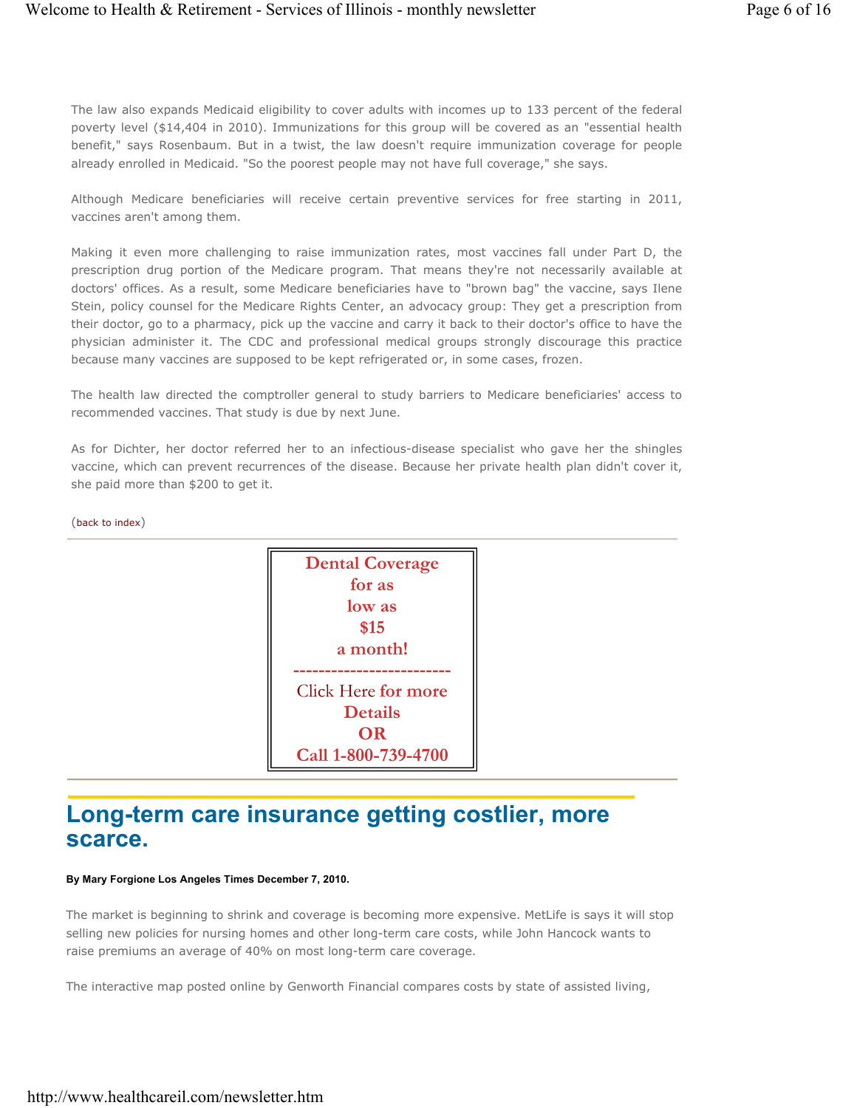The law also expands Medicaid eligibility to cover adults with incomes up to 133 percent of the federal poverty level (\$14,404 in 2010). Immunizations for this group will be covered as an "essential health benefit," says Rosenbaum. But in a twist, the law doesn't require immunization coverage for people already enrolled in Medicaid. "So the poorest people may not have full coverage," she says.

Although Medicare beneficiaries will receive certain preventive services for free starting in 2011, vaccines aren't among them.

Making it even more challenging to raise immunization rates, most vaccines fall under Part D, the prescription drug portion of the Medicare program. That means they're not necessarily available at doctors' offices. As a result, some Medicare beneficiaries have to "brown bag" the vaccine, says Ilene Stein, policy counsel for the Medicare Rights Center, an advocacy group: They get a prescription from their doctor, go to a pharmacy, pick up the vaccine and carry it back to their doctor's office to have the physician administer it. The CDC and professional medical groups strongly discourage this practice because many vaccines are supposed to be kept refrigerated or, in some cases, frozen.

The health law directed the comptroller general to study barriers to Medicare beneficiaries' access to recommended vaccines. That study is due by next June.

As for Dichter, her doctor referred her to an infectious-disease specialist who gave her the shingles vaccine, which can prevent recurrences of the disease. Because her private health plan didn't cover it, she paid more than \$200 to get it.

(back to index)



## **Long-term care insurance getting costlier, more scarce.**

#### **By Mary Forgione Los Angeles Times December 7, 2010.**

The market is beginning to shrink and coverage is becoming more expensive. MetLife is says it will stop selling new policies for nursing homes and other long-term care costs, while John Hancock wants to raise premiums an average of 40% on most long-term care coverage.

The interactive map posted online by Genworth Financial compares costs by state of assisted living,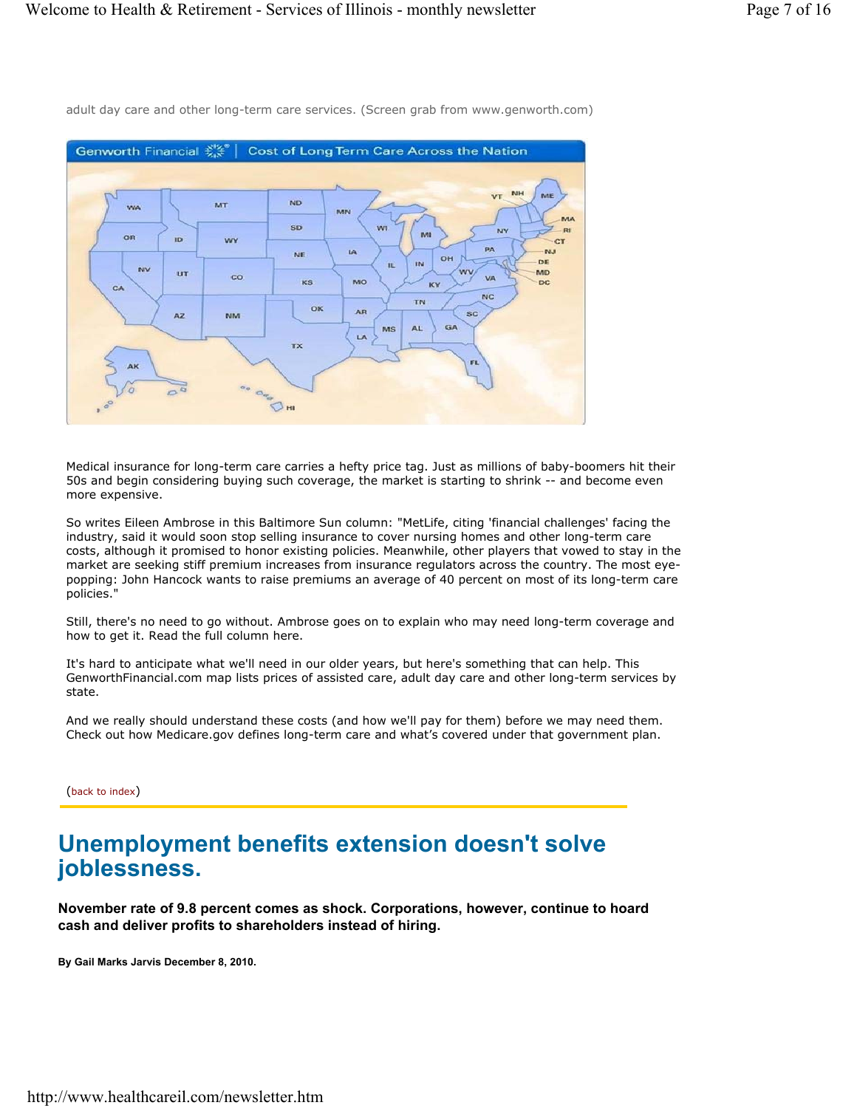

adult day care and other long-term care services. (Screen grab from www.genworth.com)

Medical insurance for long-term care carries a hefty price tag. Just as millions of baby-boomers hit their 50s and begin considering buying such coverage, the market is starting to shrink -- and become even more expensive.

So writes Eileen Ambrose in this Baltimore Sun column: "MetLife, citing 'financial challenges' facing the industry, said it would soon stop selling insurance to cover nursing homes and other long-term care costs, although it promised to honor existing policies. Meanwhile, other players that vowed to stay in the market are seeking stiff premium increases from insurance regulators across the country. The most eyepopping: John Hancock wants to raise premiums an average of 40 percent on most of its long-term care policies."

Still, there's no need to go without. Ambrose goes on to explain who may need long-term coverage and how to get it. Read the full column here.

It's hard to anticipate what we'll need in our older years, but here's something that can help. This GenworthFinancial.com map lists prices of assisted care, adult day care and other long-term services by state.

And we really should understand these costs (and how we'll pay for them) before we may need them. Check out how Medicare.gov defines long-term care and what's covered under that government plan.

(back to index)

## **Unemployment benefits extension doesn't solve joblessness.**

**November rate of 9.8 percent comes as shock. Corporations, however, continue to hoard cash and deliver profits to shareholders instead of hiring.** 

**By Gail Marks Jarvis December 8, 2010.**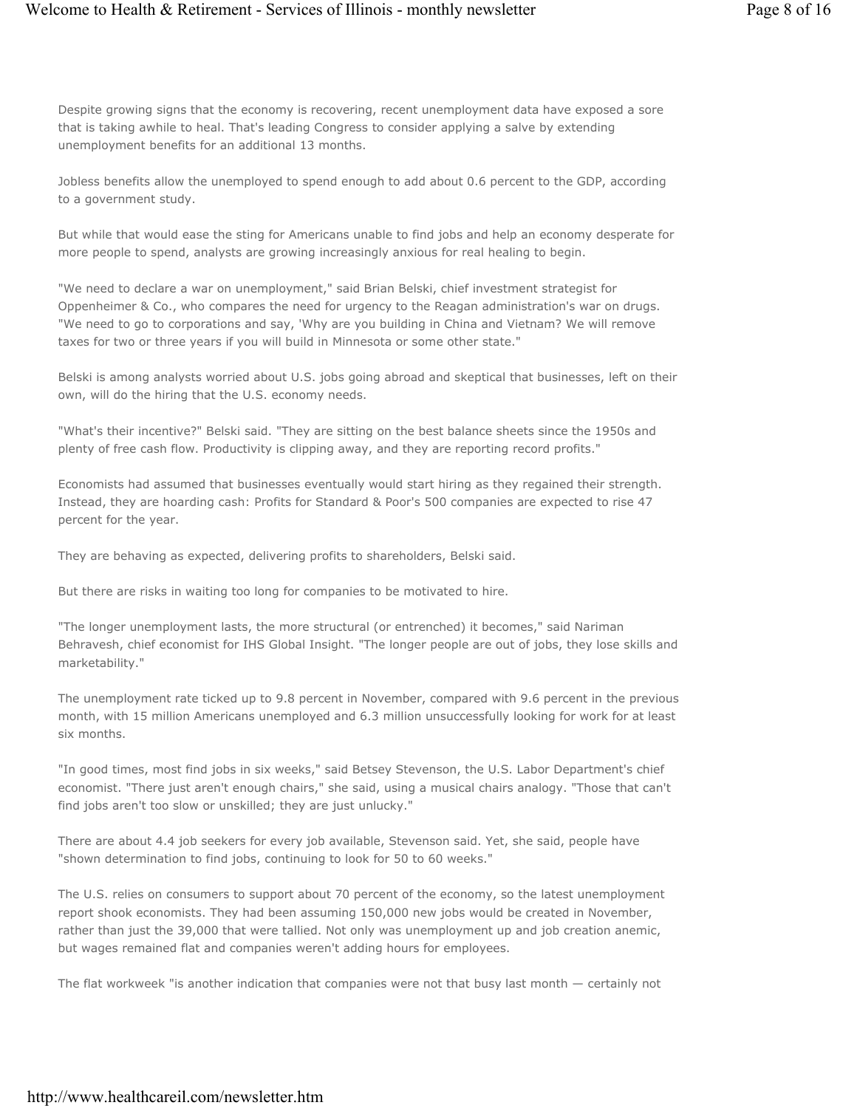Despite growing signs that the economy is recovering, recent unemployment data have exposed a sore that is taking awhile to heal. That's leading Congress to consider applying a salve by extending unemployment benefits for an additional 13 months.

Jobless benefits allow the unemployed to spend enough to add about 0.6 percent to the GDP, according to a government study.

But while that would ease the sting for Americans unable to find jobs and help an economy desperate for more people to spend, analysts are growing increasingly anxious for real healing to begin.

"We need to declare a war on unemployment," said Brian Belski, chief investment strategist for Oppenheimer & Co., who compares the need for urgency to the Reagan administration's war on drugs. "We need to go to corporations and say, 'Why are you building in China and Vietnam? We will remove taxes for two or three years if you will build in Minnesota or some other state."

Belski is among analysts worried about U.S. jobs going abroad and skeptical that businesses, left on their own, will do the hiring that the U.S. economy needs.

"What's their incentive?" Belski said. "They are sitting on the best balance sheets since the 1950s and plenty of free cash flow. Productivity is clipping away, and they are reporting record profits."

Economists had assumed that businesses eventually would start hiring as they regained their strength. Instead, they are hoarding cash: Profits for Standard & Poor's 500 companies are expected to rise 47 percent for the year.

They are behaving as expected, delivering profits to shareholders, Belski said.

But there are risks in waiting too long for companies to be motivated to hire.

"The longer unemployment lasts, the more structural (or entrenched) it becomes," said Nariman Behravesh, chief economist for IHS Global Insight. "The longer people are out of jobs, they lose skills and marketability."

The unemployment rate ticked up to 9.8 percent in November, compared with 9.6 percent in the previous month, with 15 million Americans unemployed and 6.3 million unsuccessfully looking for work for at least six months.

"In good times, most find jobs in six weeks," said Betsey Stevenson, the U.S. Labor Department's chief economist. "There just aren't enough chairs," she said, using a musical chairs analogy. "Those that can't find jobs aren't too slow or unskilled; they are just unlucky."

There are about 4.4 job seekers for every job available, Stevenson said. Yet, she said, people have "shown determination to find jobs, continuing to look for 50 to 60 weeks."

The U.S. relies on consumers to support about 70 percent of the economy, so the latest unemployment report shook economists. They had been assuming 150,000 new jobs would be created in November, rather than just the 39,000 that were tallied. Not only was unemployment up and job creation anemic, but wages remained flat and companies weren't adding hours for employees.

The flat workweek "is another indication that companies were not that busy last month — certainly not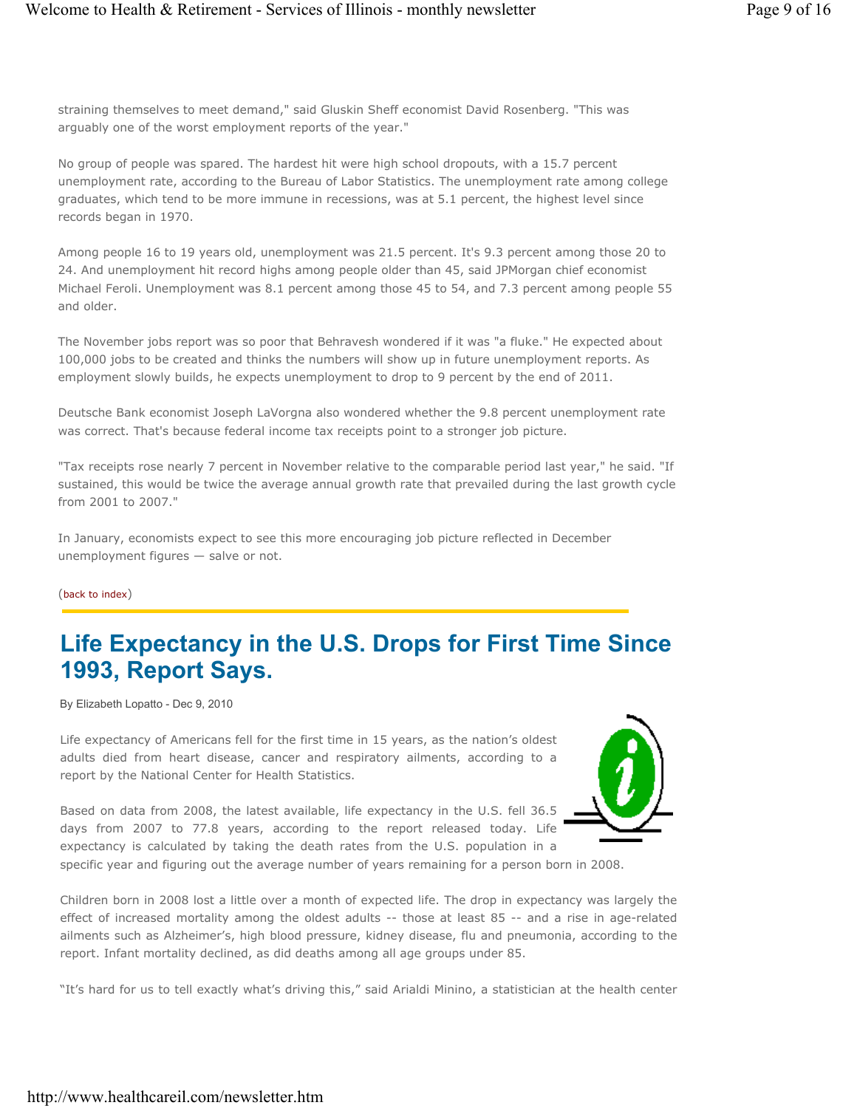straining themselves to meet demand," said Gluskin Sheff economist David Rosenberg. "This was arguably one of the worst employment reports of the year."

No group of people was spared. The hardest hit were high school dropouts, with a 15.7 percent unemployment rate, according to the Bureau of Labor Statistics. The unemployment rate among college graduates, which tend to be more immune in recessions, was at 5.1 percent, the highest level since records began in 1970.

Among people 16 to 19 years old, unemployment was 21.5 percent. It's 9.3 percent among those 20 to 24. And unemployment hit record highs among people older than 45, said JPMorgan chief economist Michael Feroli. Unemployment was 8.1 percent among those 45 to 54, and 7.3 percent among people 55 and older.

The November jobs report was so poor that Behravesh wondered if it was "a fluke." He expected about 100,000 jobs to be created and thinks the numbers will show up in future unemployment reports. As employment slowly builds, he expects unemployment to drop to 9 percent by the end of 2011.

Deutsche Bank economist Joseph LaVorgna also wondered whether the 9.8 percent unemployment rate was correct. That's because federal income tax receipts point to a stronger job picture.

"Tax receipts rose nearly 7 percent in November relative to the comparable period last year," he said. "If sustained, this would be twice the average annual growth rate that prevailed during the last growth cycle from 2001 to 2007."

In January, economists expect to see this more encouraging job picture reflected in December unemployment figures — salve or not.

(back to index)

# **Life Expectancy in the U.S. Drops for First Time Since 1993, Report Says.**

By Elizabeth Lopatto - Dec 9, 2010

Life expectancy of Americans fell for the first time in 15 years, as the nation's oldest adults died from heart disease, cancer and respiratory ailments, according to a report by the National Center for Health Statistics.



Based on data from 2008, the latest available, life expectancy in the U.S. fell 36.5 days from 2007 to 77.8 years, according to the report released today. Life expectancy is calculated by taking the death rates from the U.S. population in a specific year and figuring out the average number of years remaining for a person born in 2008.

Children born in 2008 lost a little over a month of expected life. The drop in expectancy was largely the effect of increased mortality among the oldest adults -- those at least 85 -- and a rise in age-related ailments such as Alzheimer's, high blood pressure, kidney disease, flu and pneumonia, according to the report. Infant mortality declined, as did deaths among all age groups under 85.

"It's hard for us to tell exactly what's driving this," said Arialdi Minino, a statistician at the health center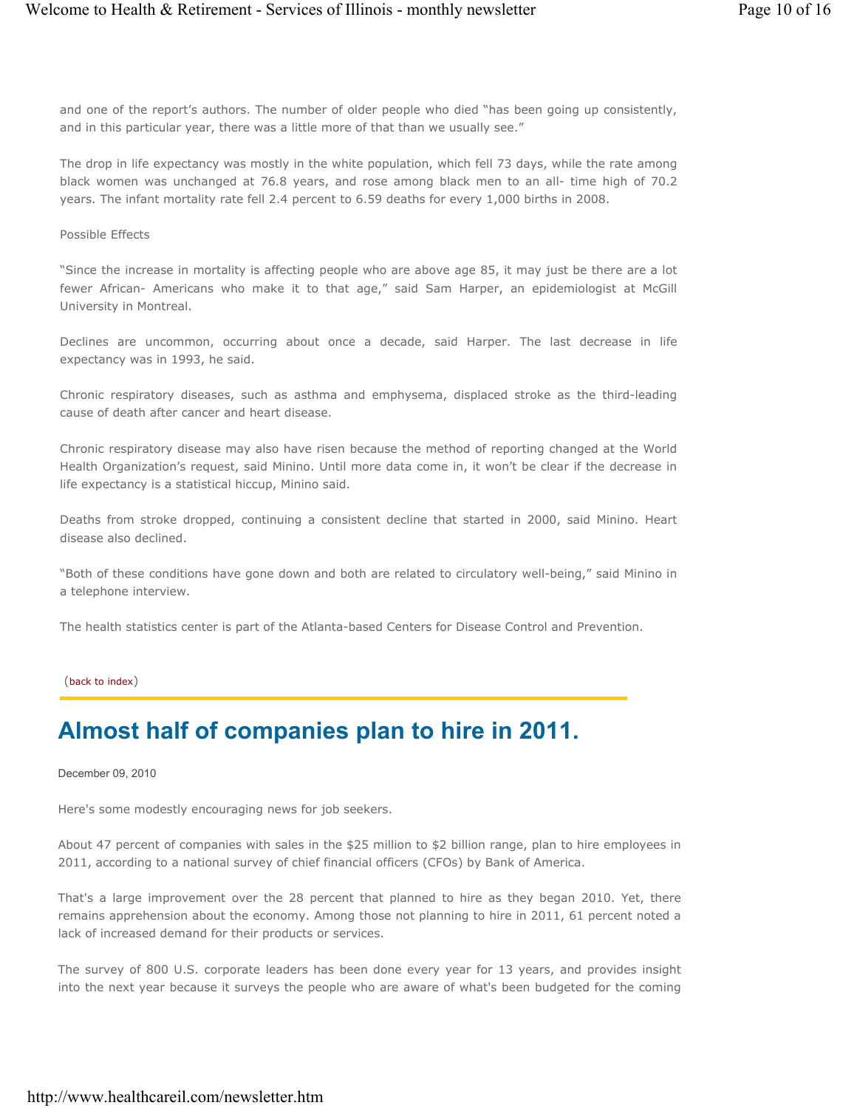and one of the report's authors. The number of older people who died "has been going up consistently, and in this particular year, there was a little more of that than we usually see."

The drop in life expectancy was mostly in the white population, which fell 73 days, while the rate among black women was unchanged at 76.8 years, and rose among black men to an all- time high of 70.2 years. The infant mortality rate fell 2.4 percent to 6.59 deaths for every 1,000 births in 2008.

#### Possible Effects

"Since the increase in mortality is affecting people who are above age 85, it may just be there are a lot fewer African- Americans who make it to that age," said Sam Harper, an epidemiologist at McGill University in Montreal.

Declines are uncommon, occurring about once a decade, said Harper. The last decrease in life expectancy was in 1993, he said.

Chronic respiratory diseases, such as asthma and emphysema, displaced stroke as the third-leading cause of death after cancer and heart disease.

Chronic respiratory disease may also have risen because the method of reporting changed at the World Health Organization's request, said Minino. Until more data come in, it won't be clear if the decrease in life expectancy is a statistical hiccup, Minino said.

Deaths from stroke dropped, continuing a consistent decline that started in 2000, said Minino. Heart disease also declined.

"Both of these conditions have gone down and both are related to circulatory well-being," said Minino in a telephone interview.

The health statistics center is part of the Atlanta-based Centers for Disease Control and Prevention.

#### (back to index)

## **Almost half of companies plan to hire in 2011.**

#### December 09, 2010

Here's some modestly encouraging news for job seekers.

About 47 percent of companies with sales in the \$25 million to \$2 billion range, plan to hire employees in 2011, according to a national survey of chief financial officers (CFOs) by Bank of America.

That's a large improvement over the 28 percent that planned to hire as they began 2010. Yet, there remains apprehension about the economy. Among those not planning to hire in 2011, 61 percent noted a lack of increased demand for their products or services.

The survey of 800 U.S. corporate leaders has been done every year for 13 years, and provides insight into the next year because it surveys the people who are aware of what's been budgeted for the coming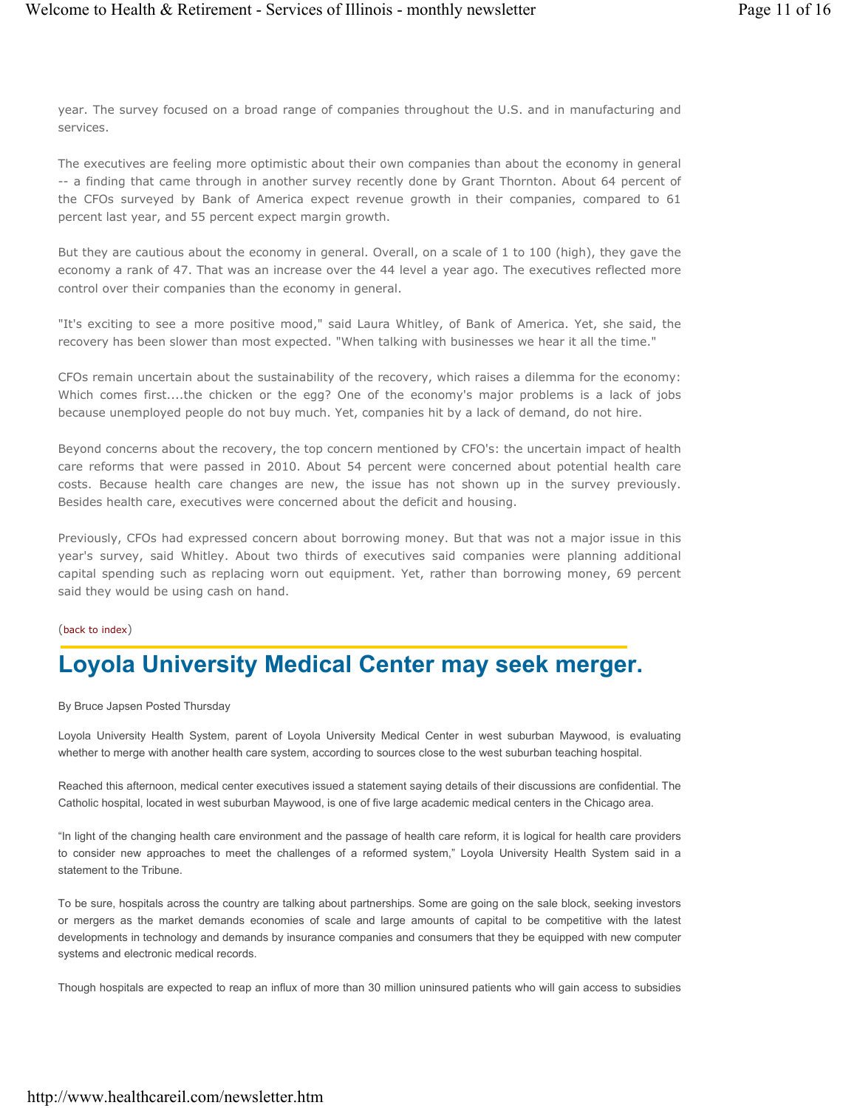year. The survey focused on a broad range of companies throughout the U.S. and in manufacturing and services.

The executives are feeling more optimistic about their own companies than about the economy in general -- a finding that came through in another survey recently done by Grant Thornton. About 64 percent of the CFOs surveyed by Bank of America expect revenue growth in their companies, compared to 61 percent last year, and 55 percent expect margin growth.

But they are cautious about the economy in general. Overall, on a scale of 1 to 100 (high), they gave the economy a rank of 47. That was an increase over the 44 level a year ago. The executives reflected more control over their companies than the economy in general.

"It's exciting to see a more positive mood," said Laura Whitley, of Bank of America. Yet, she said, the recovery has been slower than most expected. "When talking with businesses we hear it all the time."

CFOs remain uncertain about the sustainability of the recovery, which raises a dilemma for the economy: Which comes first....the chicken or the egg? One of the economy's major problems is a lack of jobs because unemployed people do not buy much. Yet, companies hit by a lack of demand, do not hire.

Beyond concerns about the recovery, the top concern mentioned by CFO's: the uncertain impact of health care reforms that were passed in 2010. About 54 percent were concerned about potential health care costs. Because health care changes are new, the issue has not shown up in the survey previously. Besides health care, executives were concerned about the deficit and housing.

Previously, CFOs had expressed concern about borrowing money. But that was not a major issue in this year's survey, said Whitley. About two thirds of executives said companies were planning additional capital spending such as replacing worn out equipment. Yet, rather than borrowing money, 69 percent said they would be using cash on hand.

#### (back to index)

## **Loyola University Medical Center may seek merger.**

By Bruce Japsen Posted Thursday

Loyola University Health System, parent of Loyola University Medical Center in west suburban Maywood, is evaluating whether to merge with another health care system, according to sources close to the west suburban teaching hospital.

Reached this afternoon, medical center executives issued a statement saying details of their discussions are confidential. The Catholic hospital, located in west suburban Maywood, is one of five large academic medical centers in the Chicago area.

"In light of the changing health care environment and the passage of health care reform, it is logical for health care providers to consider new approaches to meet the challenges of a reformed system," Loyola University Health System said in a statement to the Tribune.

To be sure, hospitals across the country are talking about partnerships. Some are going on the sale block, seeking investors or mergers as the market demands economies of scale and large amounts of capital to be competitive with the latest developments in technology and demands by insurance companies and consumers that they be equipped with new computer systems and electronic medical records.

Though hospitals are expected to reap an influx of more than 30 million uninsured patients who will gain access to subsidies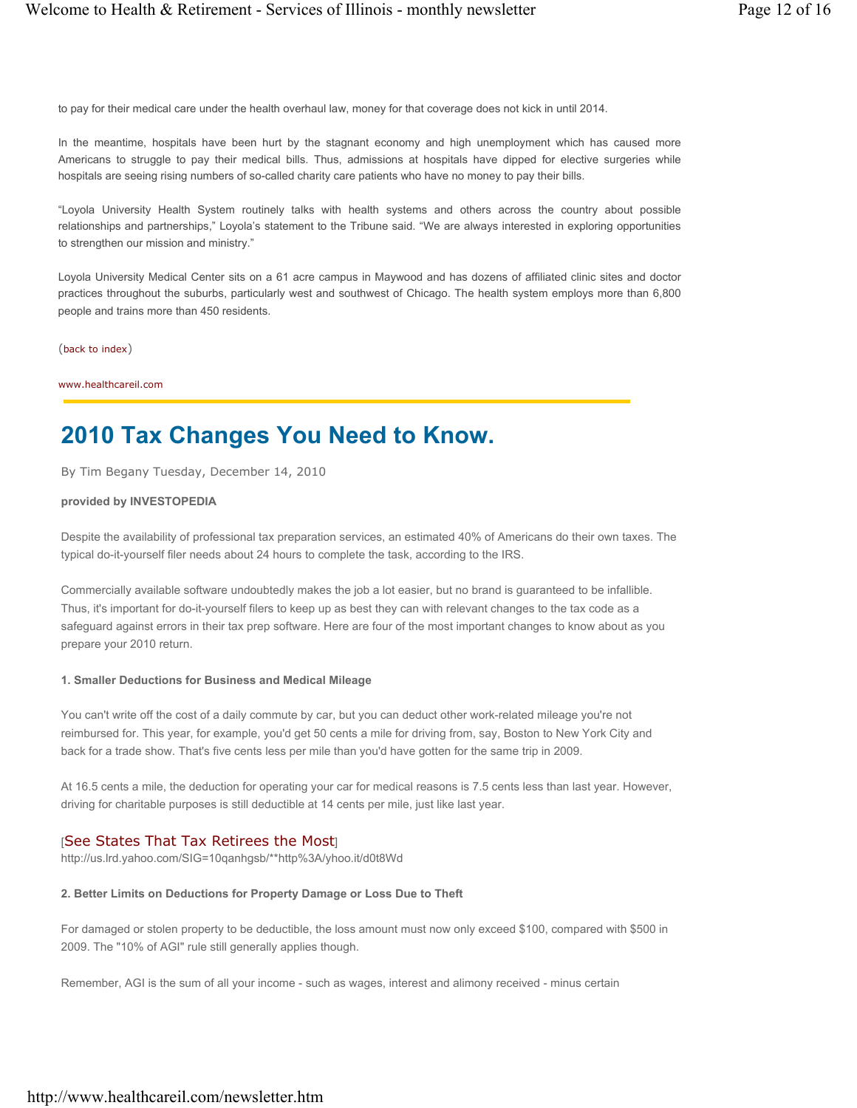to pay for their medical care under the health overhaul law, money for that coverage does not kick in until 2014.

In the meantime, hospitals have been hurt by the stagnant economy and high unemployment which has caused more Americans to struggle to pay their medical bills. Thus, admissions at hospitals have dipped for elective surgeries while hospitals are seeing rising numbers of so-called charity care patients who have no money to pay their bills.

"Loyola University Health System routinely talks with health systems and others across the country about possible relationships and partnerships," Loyola's statement to the Tribune said. "We are always interested in exploring opportunities to strengthen our mission and ministry."

Loyola University Medical Center sits on a 61 acre campus in Maywood and has dozens of affiliated clinic sites and doctor practices throughout the suburbs, particularly west and southwest of Chicago. The health system employs more than 6,800 people and trains more than 450 residents.

(back to index)

www.healthcareil.com

# **2010 Tax Changes You Need to Know.**

By Tim Begany Tuesday, December 14, 2010

#### **provided by INVESTOPEDIA**

Despite the availability of professional tax preparation services, an estimated 40% of Americans do their own taxes. The typical do-it-yourself filer needs about 24 hours to complete the task, according to the IRS.

Commercially available software undoubtedly makes the job a lot easier, but no brand is guaranteed to be infallible. Thus, it's important for do-it-yourself filers to keep up as best they can with relevant changes to the tax code as a safeguard against errors in their tax prep software. Here are four of the most important changes to know about as you prepare your 2010 return.

#### **1. Smaller Deductions for Business and Medical Mileage**

You can't write off the cost of a daily commute by car, but you can deduct other work-related mileage you're not reimbursed for. This year, for example, you'd get 50 cents a mile for driving from, say, Boston to New York City and back for a trade show. That's five cents less per mile than you'd have gotten for the same trip in 2009.

At 16.5 cents a mile, the deduction for operating your car for medical reasons is 7.5 cents less than last year. However, driving for charitable purposes is still deductible at 14 cents per mile, just like last year.

### [See States That Tax Retirees the Most]

http://us.lrd.yahoo.com/SIG=10qanhgsb/\*\*http%3A/yhoo.it/d0t8Wd

#### **2. Better Limits on Deductions for Property Damage or Loss Due to Theft**

For damaged or stolen property to be deductible, the loss amount must now only exceed \$100, compared with \$500 in 2009. The "10% of AGI" rule still generally applies though.

Remember, AGI is the sum of all your income - such as wages, interest and alimony received - minus certain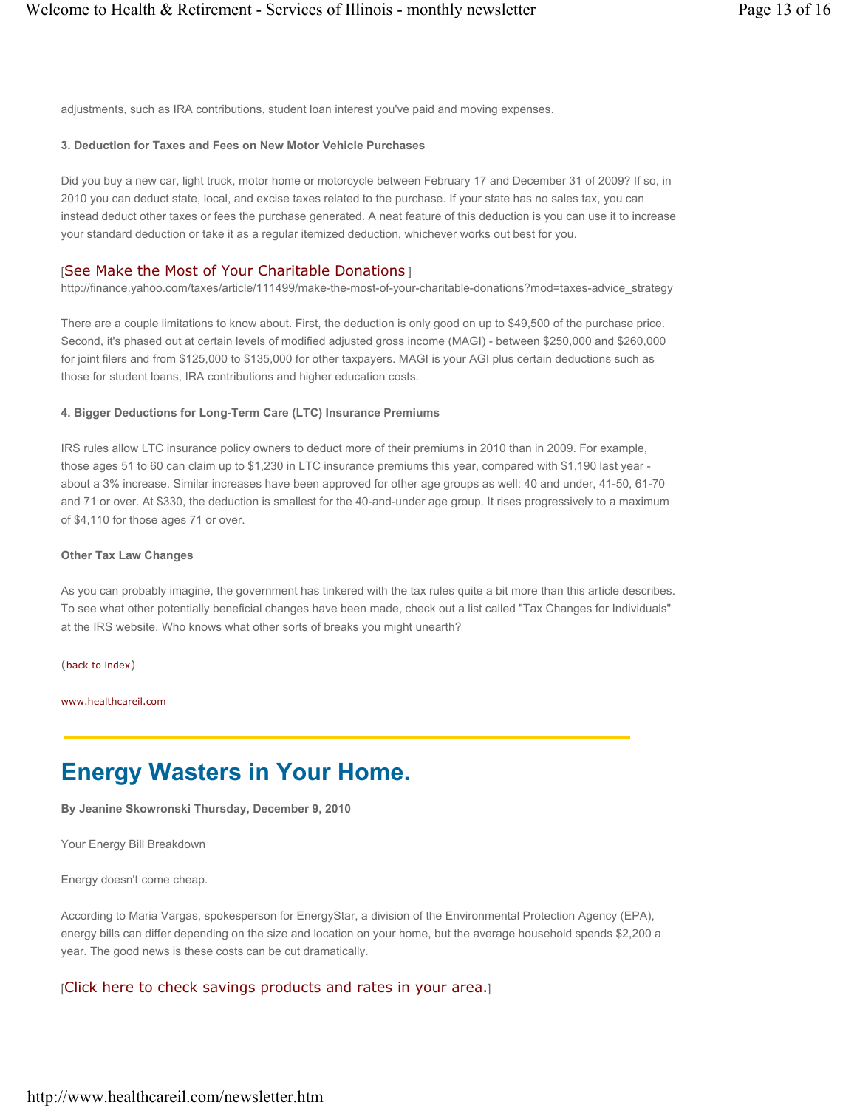adjustments, such as IRA contributions, student loan interest you've paid and moving expenses.

#### **3. Deduction for Taxes and Fees on New Motor Vehicle Purchases**

Did you buy a new car, light truck, motor home or motorcycle between February 17 and December 31 of 2009? If so, in 2010 you can deduct state, local, and excise taxes related to the purchase. If your state has no sales tax, you can instead deduct other taxes or fees the purchase generated. A neat feature of this deduction is you can use it to increase your standard deduction or take it as a regular itemized deduction, whichever works out best for you.

### [See Make the Most of Your Charitable Donations ]

http://finance.yahoo.com/taxes/article/111499/make-the-most-of-your-charitable-donations?mod=taxes-advice\_strategy

There are a couple limitations to know about. First, the deduction is only good on up to \$49,500 of the purchase price. Second, it's phased out at certain levels of modified adjusted gross income (MAGI) - between \$250,000 and \$260,000 for joint filers and from \$125,000 to \$135,000 for other taxpayers. MAGI is your AGI plus certain deductions such as those for student loans, IRA contributions and higher education costs.

### **4. Bigger Deductions for Long-Term Care (LTC) Insurance Premiums**

IRS rules allow LTC insurance policy owners to deduct more of their premiums in 2010 than in 2009. For example, those ages 51 to 60 can claim up to \$1,230 in LTC insurance premiums this year, compared with \$1,190 last year about a 3% increase. Similar increases have been approved for other age groups as well: 40 and under, 41-50, 61-70 and 71 or over. At \$330, the deduction is smallest for the 40-and-under age group. It rises progressively to a maximum of \$4,110 for those ages 71 or over.

#### **Other Tax Law Changes**

As you can probably imagine, the government has tinkered with the tax rules quite a bit more than this article describes. To see what other potentially beneficial changes have been made, check out a list called "Tax Changes for Individuals" at the IRS website. Who knows what other sorts of breaks you might unearth?

(back to index)

www.healthcareil.com

## **Energy Wasters in Your Home.**

**By Jeanine Skowronski Thursday, December 9, 2010**

Your Energy Bill Breakdown

Energy doesn't come cheap.

According to Maria Vargas, spokesperson for EnergyStar, a division of the Environmental Protection Agency (EPA), energy bills can differ depending on the size and location on your home, but the average household spends \$2,200 a year. The good news is these costs can be cut dramatically.

### [Click here to check savings products and rates in your area.]

http://www.healthcareil.com/newsletter.htm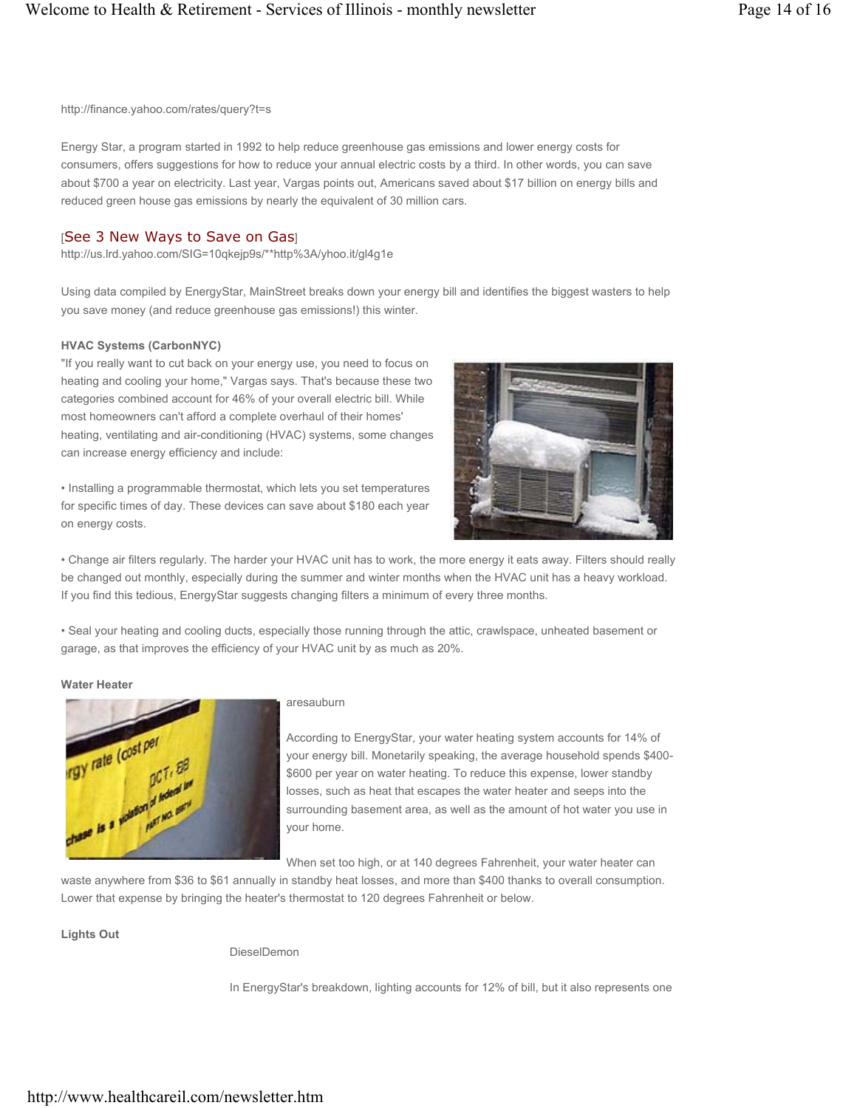http://finance.yahoo.com/rates/query?t=s

Energy Star, a program started in 1992 to help reduce greenhouse gas emissions and lower energy costs for consumers, offers suggestions for how to reduce your annual electric costs by a third. In other words, you can save about \$700 a year on electricity. Last year, Vargas points out, Americans saved about \$17 billion on energy bills and reduced green house gas emissions by nearly the equivalent of 30 million cars.

### [See 3 New Ways to Save on Gas]

http://us.lrd.yahoo.com/SIG=10qkejp9s/\*\*http%3A/yhoo.it/gl4g1e

Using data compiled by EnergyStar, MainStreet breaks down your energy bill and identifies the biggest wasters to help you save money (and reduce greenhouse gas emissions!) this winter.

### **HVAC Systems (CarbonNYC)**

"If you really want to cut back on your energy use, you need to focus on heating and cooling your home," Vargas says. That's because these two categories combined account for 46% of your overall electric bill. While most homeowners can't afford a complete overhaul of their homes' heating, ventilating and air-conditioning (HVAC) systems, some changes can increase energy efficiency and include:

• Installing a programmable thermostat, which lets you set temperatures for specific times of day. These devices can save about \$180 each year on energy costs.



• Change air filters regularly. The harder your HVAC unit has to work, the more energy it eats away. Filters should really be changed out monthly, especially during the summer and winter months when the HVAC unit has a heavy workload. If you find this tedious, EnergyStar suggests changing filters a minimum of every three months.

• Seal your heating and cooling ducts, especially those running through the attic, crawlspace, unheated basement or garage, as that improves the efficiency of your HVAC unit by as much as 20%.

#### **Water Heater**



#### aresauburn

According to EnergyStar, your water heating system accounts for 14% of your energy bill. Monetarily speaking, the average household spends \$400- \$600 per year on water heating. To reduce this expense, lower standby losses, such as heat that escapes the water heater and seeps into the surrounding basement area, as well as the amount of hot water you use in your home.

When set too high, or at 140 degrees Fahrenheit, your water heater can

waste anywhere from \$36 to \$61 annually in standby heat losses, and more than \$400 thanks to overall consumption. Lower that expense by bringing the heater's thermostat to 120 degrees Fahrenheit or below.

**Lights Out**

#### DieselDemon

In EnergyStar's breakdown, lighting accounts for 12% of bill, but it also represents one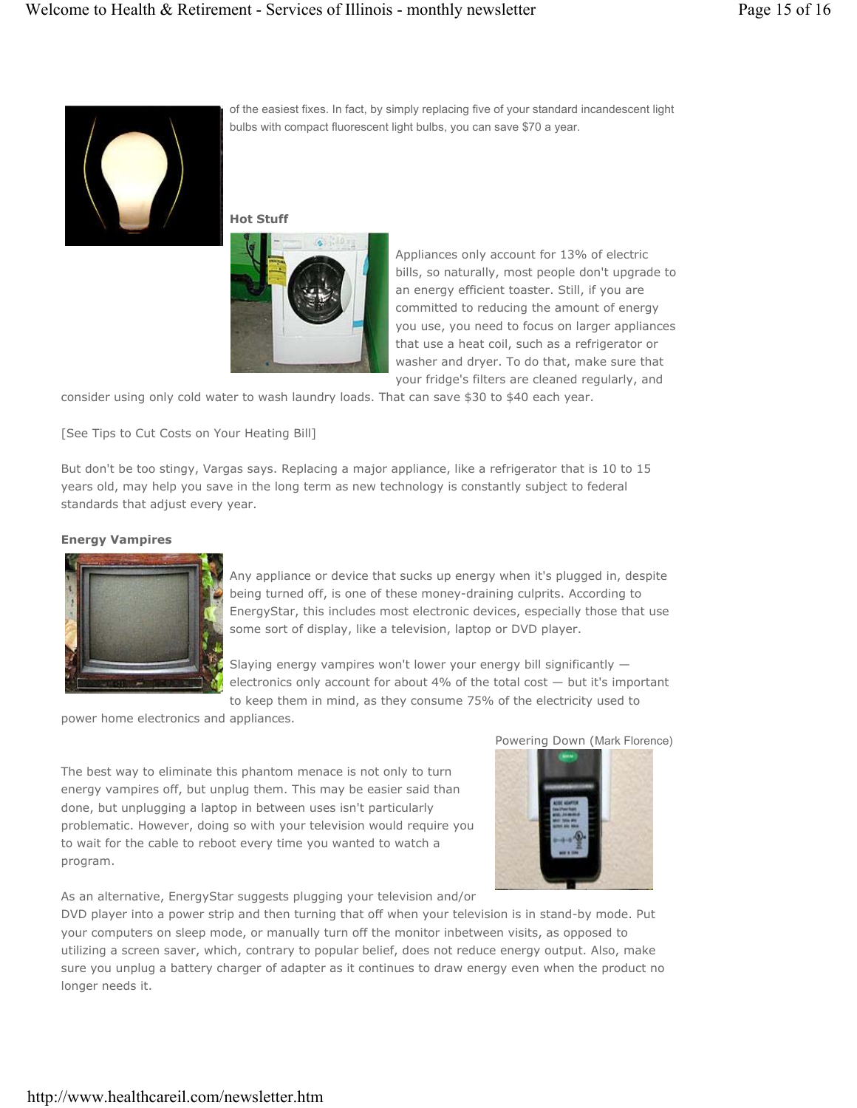

of the easiest fixes. In fact, by simply replacing five of your standard incandescent light bulbs with compact fluorescent light bulbs, you can save \$70 a year.

**Hot Stuff**



Appliances only account for 13% of electric bills, so naturally, most people don't upgrade to an energy efficient toaster. Still, if you are committed to reducing the amount of energy you use, you need to focus on larger appliances that use a heat coil, such as a refrigerator or washer and dryer. To do that, make sure that your fridge's filters are cleaned regularly, and

consider using only cold water to wash laundry loads. That can save \$30 to \$40 each year.

[See Tips to Cut Costs on Your Heating Bill]

But don't be too stingy, Vargas says. Replacing a major appliance, like a refrigerator that is 10 to 15 years old, may help you save in the long term as new technology is constantly subject to federal standards that adjust every year.

### **Energy Vampires**



Any appliance or device that sucks up energy when it's plugged in, despite being turned off, is one of these money-draining culprits. According to EnergyStar, this includes most electronic devices, especially those that use some sort of display, like a television, laptop or DVD player.

Slaying energy vampires won't lower your energy bill significantly electronics only account for about 4% of the total cost — but it's important to keep them in mind, as they consume 75% of the electricity used to

power home electronics and appliances.

The best way to eliminate this phantom menace is not only to turn energy vampires off, but unplug them. This may be easier said than done, but unplugging a laptop in between uses isn't particularly problematic. However, doing so with your television would require you to wait for the cable to reboot every time you wanted to watch a program.



As an alternative, EnergyStar suggests plugging your television and/or

DVD player into a power strip and then turning that off when your television is in stand-by mode. Put your computers on sleep mode, or manually turn off the monitor inbetween visits, as opposed to utilizing a screen saver, which, contrary to popular belief, does not reduce energy output. Also, make sure you unplug a battery charger of adapter as it continues to draw energy even when the product no longer needs it.